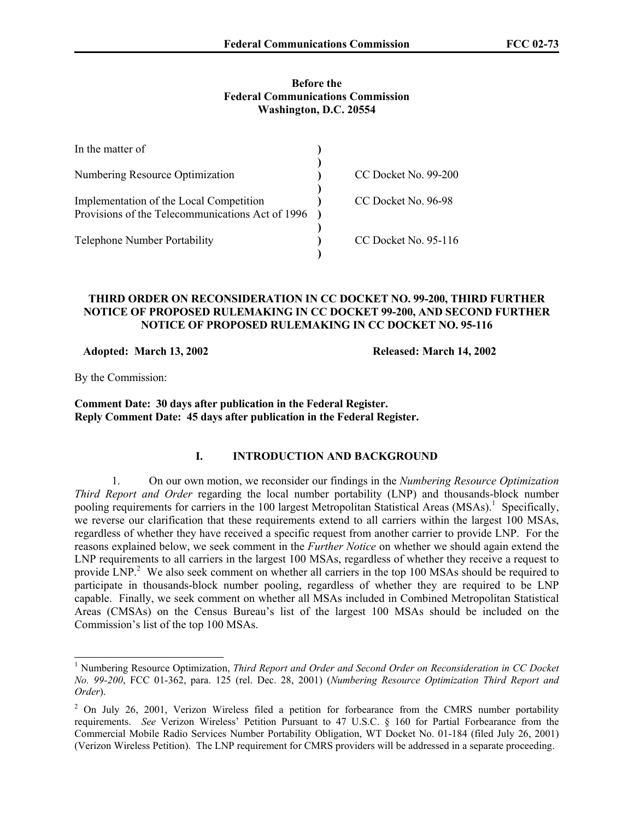### **Before the Federal Communications Commission Washington, D.C. 20554**

| In the matter of                                 |                      |
|--------------------------------------------------|----------------------|
| Numbering Resource Optimization                  | CC Docket No. 99-200 |
|                                                  |                      |
| Implementation of the Local Competition          | CC Docket No. 96-98  |
| Provisions of the Telecommunications Act of 1996 |                      |
|                                                  |                      |
| <b>Telephone Number Portability</b>              | CC Docket No. 95-116 |
|                                                  |                      |

### **THIRD ORDER ON RECONSIDERATION IN CC DOCKET NO. 99-200, THIRD FURTHER NOTICE OF PROPOSED RULEMAKING IN CC DOCKET 99-200, AND SECOND FURTHER NOTICE OF PROPOSED RULEMAKING IN CC DOCKET NO. 95-116**

 **Adopted: March 13, 2002 Released: March 14, 2002** 

By the Commission:

 $\overline{a}$ 

**Comment Date: 30 days after publication in the Federal Register. Reply Comment Date: 45 days after publication in the Federal Register.** 

# **I. INTRODUCTION AND BACKGROUND**

1. On our own motion, we reconsider our findings in the *Numbering Resource Optimization Third Report and Order* regarding the local number portability (LNP) and thousands-block number pooling requirements for carriers in the 100 largest Metropolitan Statistical Areas (MSAs).<sup>1</sup> Specifically, we reverse our clarification that these requirements extend to all carriers within the largest 100 MSAs, regardless of whether they have received a specific request from another carrier to provide LNP. For the reasons explained below, we seek comment in the *Further Notice* on whether we should again extend the LNP requirements to all carriers in the largest 100 MSAs, regardless of whether they receive a request to provide LNP.<sup>2</sup> We also seek comment on whether all carriers in the top 100 MSAs should be required to participate in thousands-block number pooling, regardless of whether they are required to be LNP capable. Finally, we seek comment on whether all MSAs included in Combined Metropolitan Statistical Areas (CMSAs) on the Census Bureau's list of the largest 100 MSAs should be included on the Commission's list of the top 100 MSAs.

<sup>&</sup>lt;sup>1</sup> Numbering Resource Optimization, *Third Report and Order and Second Order on Reconsideration in CC Docket No. 99-200*, FCC 01-362, para. 125 (rel. Dec. 28, 2001) (*Numbering Resource Optimization Third Report and Order*).

 $2$  On July 26, 2001, Verizon Wireless filed a petition for forbearance from the CMRS number portability requirements. *See* Verizon Wireless' Petition Pursuant to 47 U.S.C. § 160 for Partial Forbearance from the Commercial Mobile Radio Services Number Portability Obligation, WT Docket No. 01-184 (filed July 26, 2001) (Verizon Wireless Petition). The LNP requirement for CMRS providers will be addressed in a separate proceeding.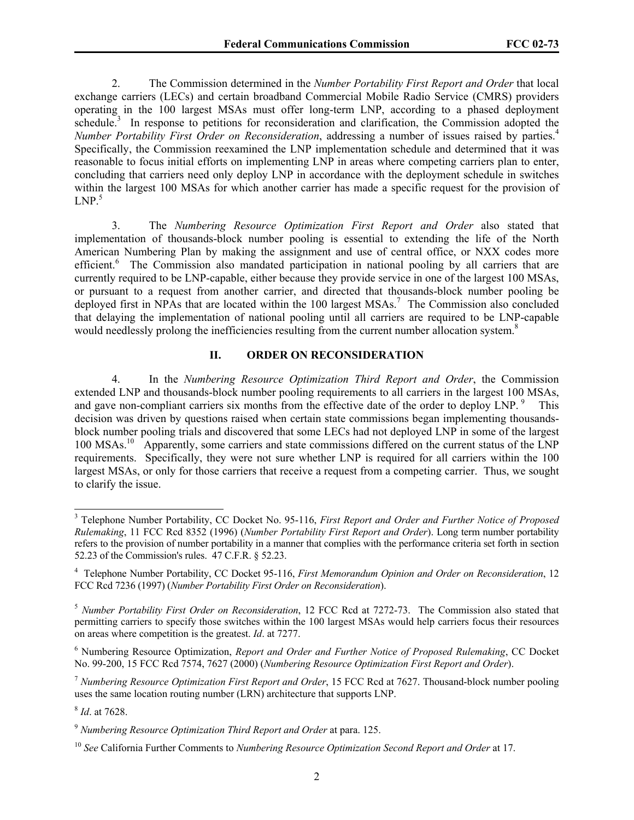2. The Commission determined in the *Number Portability First Report and Order* that local exchange carriers (LECs) and certain broadband Commercial Mobile Radio Service (CMRS) providers operating in the 100 largest MSAs must offer long-term LNP, according to a phased deployment schedule.<sup>3</sup> In response to petitions for reconsideration and clarification, the Commission adopted the *Number Portability First Order on Reconsideration*, addressing a number of issues raised by parties.4 Specifically, the Commission reexamined the LNP implementation schedule and determined that it was reasonable to focus initial efforts on implementing LNP in areas where competing carriers plan to enter, concluding that carriers need only deploy LNP in accordance with the deployment schedule in switches within the largest 100 MSAs for which another carrier has made a specific request for the provision of  $LNP.<sup>5</sup>$ 

3. The *Numbering Resource Optimization First Report and Order* also stated that implementation of thousands-block number pooling is essential to extending the life of the North American Numbering Plan by making the assignment and use of central office, or NXX codes more efficient.<sup>6</sup> The Commission also mandated participation in national pooling by all carriers that are currently required to be LNP-capable, either because they provide service in one of the largest 100 MSAs, or pursuant to a request from another carrier, and directed that thousands-block number pooling be deployed first in NPAs that are located within the 100 largest MSAs.<sup>7</sup> The Commission also concluded that delaying the implementation of national pooling until all carriers are required to be LNP-capable would needlessly prolong the inefficiencies resulting from the current number allocation system.<sup>8</sup>

## **II. ORDER ON RECONSIDERATION**

4. In the *Numbering Resource Optimization Third Report and Order*, the Commission extended LNP and thousands-block number pooling requirements to all carriers in the largest 100 MSAs, and gave non-compliant carriers six months from the effective date of the order to deploy LNP.<sup>9</sup> This decision was driven by questions raised when certain state commissions began implementing thousandsblock number pooling trials and discovered that some LECs had not deployed LNP in some of the largest 100 MSAs.<sup>10</sup> Apparently, some carriers and state commissions differed on the current status of the LNP requirements. Specifically, they were not sure whether LNP is required for all carriers within the 100 largest MSAs, or only for those carriers that receive a request from a competing carrier. Thus, we sought to clarify the issue.

 3 Telephone Number Portability, CC Docket No. 95-116, *First Report and Order and Further Notice of Proposed Rulemaking*, 11 FCC Rcd 8352 (1996) (*Number Portability First Report and Order*). Long term number portability refers to the provision of number portability in a manner that complies with the performance criteria set forth in section 52.23 of the Commission's rules. 47 C.F.R. § 52.23.

<sup>4</sup> Telephone Number Portability, CC Docket 95-116, *First Memorandum Opinion and Order on Reconsideration*, 12 FCC Rcd 7236 (1997) (*Number Portability First Order on Reconsideration*).

<sup>5</sup> *Number Portability First Order on Reconsideration*, 12 FCC Rcd at 7272-73. The Commission also stated that permitting carriers to specify those switches within the 100 largest MSAs would help carriers focus their resources on areas where competition is the greatest. *Id*. at 7277.

<sup>6</sup> Numbering Resource Optimization, *Report and Order and Further Notice of Proposed Rulemaking*, CC Docket No. 99-200, 15 FCC Rcd 7574, 7627 (2000) (*Numbering Resource Optimization First Report and Order*).

<sup>7</sup> *Numbering Resource Optimization First Report and Order*, 15 FCC Rcd at 7627. Thousand-block number pooling uses the same location routing number (LRN) architecture that supports LNP.

<sup>8</sup> *Id*. at 7628.

<sup>9</sup> *Numbering Resource Optimization Third Report and Order* at para. 125.

<sup>10</sup> *See* California Further Comments to *Numbering Resource Optimization Second Report and Order* at 17.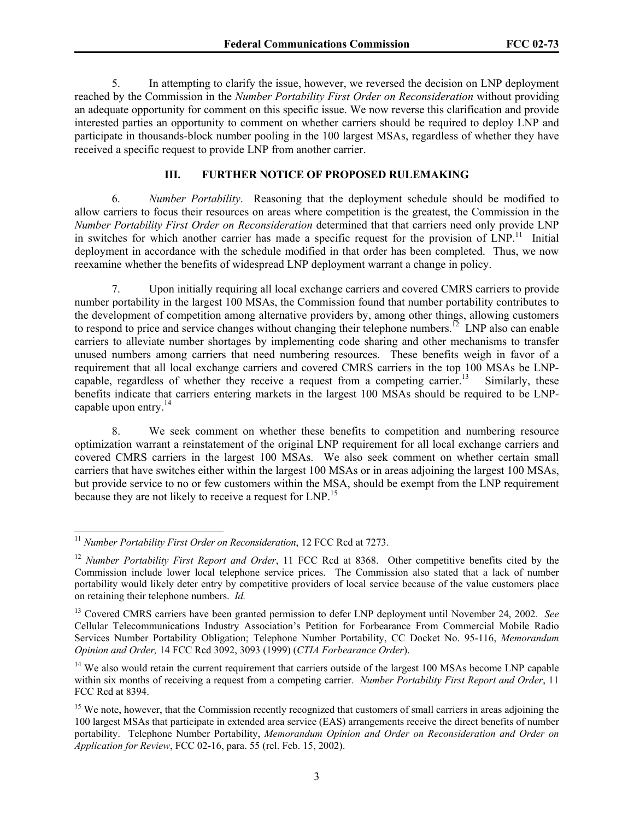5. In attempting to clarify the issue, however, we reversed the decision on LNP deployment reached by the Commission in the *Number Portability First Order on Reconsideration* without providing an adequate opportunity for comment on this specific issue. We now reverse this clarification and provide interested parties an opportunity to comment on whether carriers should be required to deploy LNP and participate in thousands-block number pooling in the 100 largest MSAs, regardless of whether they have received a specific request to provide LNP from another carrier.

#### **III. FURTHER NOTICE OF PROPOSED RULEMAKING**

6. *Number Portability*. Reasoning that the deployment schedule should be modified to allow carriers to focus their resources on areas where competition is the greatest, the Commission in the *Number Portability First Order on Reconsideration* determined that that carriers need only provide LNP in switches for which another carrier has made a specific request for the provision of  $\text{LNP}$ .<sup>11</sup> Initial deployment in accordance with the schedule modified in that order has been completed. Thus, we now reexamine whether the benefits of widespread LNP deployment warrant a change in policy.

7. Upon initially requiring all local exchange carriers and covered CMRS carriers to provide number portability in the largest 100 MSAs, the Commission found that number portability contributes to the development of competition among alternative providers by, among other things, allowing customers to respond to price and service changes without changing their telephone numbers.<sup>12</sup> LNP also can enable carriers to alleviate number shortages by implementing code sharing and other mechanisms to transfer unused numbers among carriers that need numbering resources. These benefits weigh in favor of a requirement that all local exchange carriers and covered CMRS carriers in the top 100 MSAs be LNPcapable, regardless of whether they receive a request from a competing carrier.<sup>13</sup> Similarly, these benefits indicate that carriers entering markets in the largest 100 MSAs should be required to be LNPcapable upon entry. $14$ 

8. We seek comment on whether these benefits to competition and numbering resource optimization warrant a reinstatement of the original LNP requirement for all local exchange carriers and covered CMRS carriers in the largest 100 MSAs. We also seek comment on whether certain small carriers that have switches either within the largest 100 MSAs or in areas adjoining the largest 100 MSAs, but provide service to no or few customers within the MSA, should be exempt from the LNP requirement because they are not likely to receive a request for LNP.<sup>15</sup>

<sup>&</sup>lt;sup>11</sup> *Number Portability First Order on Reconsideration*, 12 FCC Rcd at 7273.

<sup>&</sup>lt;sup>12</sup> *Number Portability First Report and Order*, 11 FCC Rcd at 8368. Other competitive benefits cited by the Commission include lower local telephone service prices. The Commission also stated that a lack of number portability would likely deter entry by competitive providers of local service because of the value customers place on retaining their telephone numbers. *Id.*

<sup>13</sup> Covered CMRS carriers have been granted permission to defer LNP deployment until November 24, 2002. *See*  Cellular Telecommunications Industry Association's Petition for Forbearance From Commercial Mobile Radio Services Number Portability Obligation; Telephone Number Portability, CC Docket No. 95-116, *Memorandum Opinion and Order,* 14 FCC Rcd 3092, 3093 (1999) (*CTIA Forbearance Order*).

<sup>&</sup>lt;sup>14</sup> We also would retain the current requirement that carriers outside of the largest 100 MSAs become LNP capable within six months of receiving a request from a competing carrier. *Number Portability First Report and Order*, 11 FCC Rcd at 8394.

<sup>&</sup>lt;sup>15</sup> We note, however, that the Commission recently recognized that customers of small carriers in areas adjoining the 100 largest MSAs that participate in extended area service (EAS) arrangements receive the direct benefits of number portability. Telephone Number Portability, *Memorandum Opinion and Order on Reconsideration and Order on Application for Review*, FCC 02-16, para. 55 (rel. Feb. 15, 2002).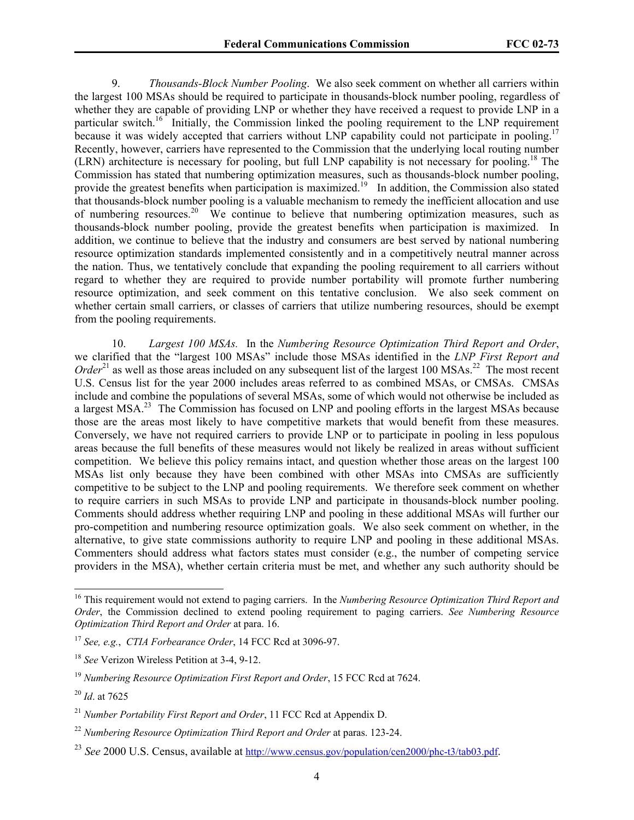9. *Thousands-Block Number Pooling*. We also seek comment on whether all carriers within the largest 100 MSAs should be required to participate in thousands-block number pooling, regardless of whether they are capable of providing LNP or whether they have received a request to provide LNP in a particular switch.<sup>16</sup> Initially, the Commission linked the pooling requirement to the LNP requirement because it was widely accepted that carriers without LNP capability could not participate in pooling.<sup>17</sup> Recently, however, carriers have represented to the Commission that the underlying local routing number (LRN) architecture is necessary for pooling, but full LNP capability is not necessary for pooling.18 The Commission has stated that numbering optimization measures, such as thousands-block number pooling, provide the greatest benefits when participation is maximized.<sup>19</sup> In addition, the Commission also stated that thousands-block number pooling is a valuable mechanism to remedy the inefficient allocation and use of numbering resources.<sup>20</sup> We continue to believe that numbering optimization measures, such as thousands-block number pooling, provide the greatest benefits when participation is maximized. In addition, we continue to believe that the industry and consumers are best served by national numbering resource optimization standards implemented consistently and in a competitively neutral manner across the nation. Thus, we tentatively conclude that expanding the pooling requirement to all carriers without regard to whether they are required to provide number portability will promote further numbering resource optimization, and seek comment on this tentative conclusion. We also seek comment on whether certain small carriers, or classes of carriers that utilize numbering resources, should be exempt from the pooling requirements.

10. *Largest 100 MSAs.* In the *Numbering Resource Optimization Third Report and Order*, we clarified that the "largest 100 MSAs" include those MSAs identified in the *LNP First Report and Order*<sup>21</sup> as well as those areas included on any subsequent list of the largest 100 MSAs.<sup>22</sup> The most recent U.S. Census list for the year 2000 includes areas referred to as combined MSAs, or CMSAs. CMSAs include and combine the populations of several MSAs, some of which would not otherwise be included as a largest MSA.<sup>23</sup> The Commission has focused on LNP and pooling efforts in the largest MSAs because those are the areas most likely to have competitive markets that would benefit from these measures. Conversely, we have not required carriers to provide LNP or to participate in pooling in less populous areas because the full benefits of these measures would not likely be realized in areas without sufficient competition. We believe this policy remains intact, and question whether those areas on the largest 100 MSAs list only because they have been combined with other MSAs into CMSAs are sufficiently competitive to be subject to the LNP and pooling requirements. We therefore seek comment on whether to require carriers in such MSAs to provide LNP and participate in thousands-block number pooling. Comments should address whether requiring LNP and pooling in these additional MSAs will further our pro-competition and numbering resource optimization goals. We also seek comment on whether, in the alternative, to give state commissions authority to require LNP and pooling in these additional MSAs. Commenters should address what factors states must consider (e.g., the number of competing service providers in the MSA), whether certain criteria must be met, and whether any such authority should be

<sup>16</sup> This requirement would not extend to paging carriers. In the *Numbering Resource Optimization Third Report and Order*, the Commission declined to extend pooling requirement to paging carriers. *See Numbering Resource Optimization Third Report and Order* at para. 16.

<sup>17</sup> *See, e.g.*, *CTIA Forbearance Order*, 14 FCC Rcd at 3096-97.

<sup>18</sup> *See* Verizon Wireless Petition at 3-4, 9-12.

<sup>19</sup> *Numbering Resource Optimization First Report and Order*, 15 FCC Rcd at 7624.

<sup>20</sup> *Id*. at 7625

<sup>21</sup> *Number Portability First Report and Order*, 11 FCC Rcd at Appendix D.

<sup>22</sup> *Numbering Resource Optimization Third Report and Order* at paras. 123-24.

<sup>23</sup> *See* 2000 U.S. Census, available at http://www.census.gov/population/cen2000/phc-t3/tab03.pdf.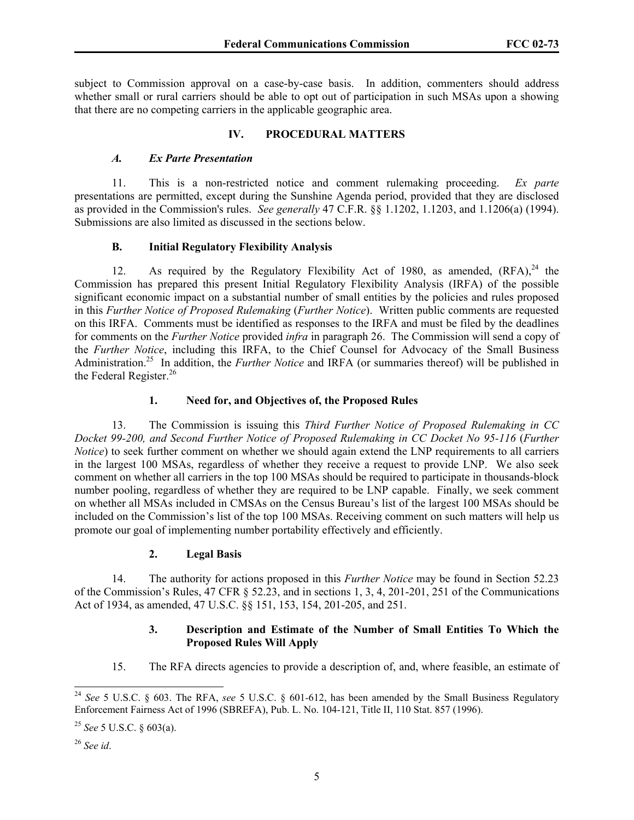subject to Commission approval on a case-by-case basis. In addition, commenters should address whether small or rural carriers should be able to opt out of participation in such MSAs upon a showing that there are no competing carriers in the applicable geographic area.

## **IV. PROCEDURAL MATTERS**

## *A. Ex Parte Presentation*

11. This is a non-restricted notice and comment rulemaking proceeding. *Ex parte* presentations are permitted, except during the Sunshine Agenda period, provided that they are disclosed as provided in the Commission's rules. *See generally* 47 C.F.R. §§ 1.1202, 1.1203, and 1.1206(a) (1994). Submissions are also limited as discussed in the sections below.

# **B. Initial Regulatory Flexibility Analysis**

12. As required by the Regulatory Flexibility Act of 1980, as amended, (RFA),<sup>24</sup> the Commission has prepared this present Initial Regulatory Flexibility Analysis (IRFA) of the possible significant economic impact on a substantial number of small entities by the policies and rules proposed in this *Further Notice of Proposed Rulemaking* (*Further Notice*). Written public comments are requested on this IRFA. Comments must be identified as responses to the IRFA and must be filed by the deadlines for comments on the *Further Notice* provided *infra* in paragraph 26. The Commission will send a copy of the *Further Notice*, including this IRFA, to the Chief Counsel for Advocacy of the Small Business Administration.25 In addition, the *Further Notice* and IRFA (or summaries thereof) will be published in the Federal Register.<sup>26</sup>

# **1. Need for, and Objectives of, the Proposed Rules**

13. The Commission is issuing this *Third Further Notice of Proposed Rulemaking in CC Docket 99-200, and Second Further Notice of Proposed Rulemaking in CC Docket No 95-116* (*Further Notice*) to seek further comment on whether we should again extend the LNP requirements to all carriers in the largest 100 MSAs, regardless of whether they receive a request to provide LNP. We also seek comment on whether all carriers in the top 100 MSAs should be required to participate in thousands-block number pooling, regardless of whether they are required to be LNP capable. Finally, we seek comment on whether all MSAs included in CMSAs on the Census Bureau's list of the largest 100 MSAs should be included on the Commission's list of the top 100 MSAs. Receiving comment on such matters will help us promote our goal of implementing number portability effectively and efficiently.

# **2. Legal Basis**

14. The authority for actions proposed in this *Further Notice* may be found in Section 52.23 of the Commission's Rules, 47 CFR § 52.23, and in sections 1, 3, 4, 201-201, 251 of the Communications Act of 1934, as amended, 47 U.S.C. §§ 151, 153, 154, 201-205, and 251.

## **3. Description and Estimate of the Number of Small Entities To Which the Proposed Rules Will Apply**

15. The RFA directs agencies to provide a description of, and, where feasible, an estimate of

<sup>24</sup> *See* 5 U.S.C. § 603. The RFA, *see* 5 U.S.C. § 601*-*612, has been amended by the Small Business Regulatory Enforcement Fairness Act of 1996 (SBREFA), Pub. L. No. 104-121, Title II, 110 Stat. 857 (1996).

<sup>25</sup> *See* 5 U.S.C. § 603(a).

<sup>26</sup> *See id*.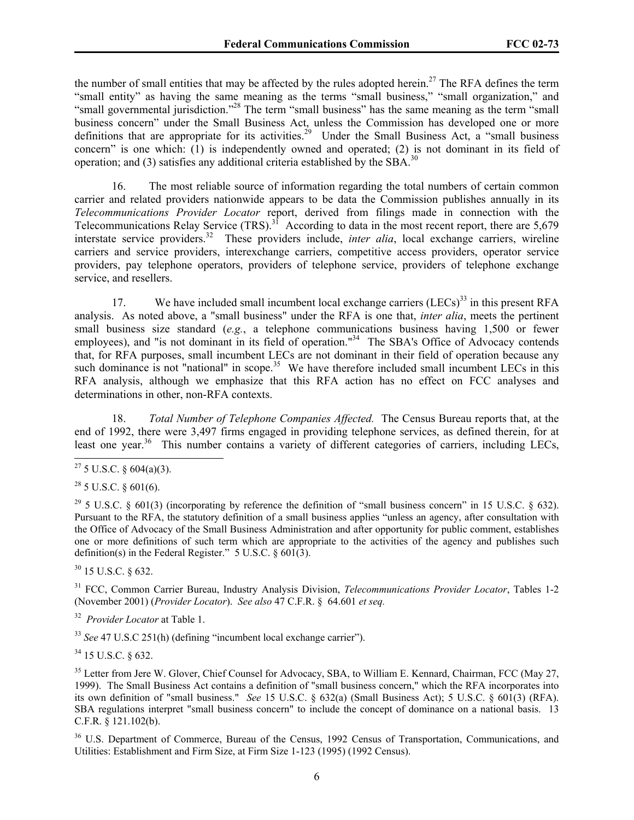the number of small entities that may be affected by the rules adopted herein.<sup>27</sup> The RFA defines the term "small entity" as having the same meaning as the terms "small business," "small organization," and "small governmental jurisdiction."<sup>28</sup> The term "small business" has the same meaning as the term "small" business concern" under the Small Business Act, unless the Commission has developed one or more definitions that are appropriate for its activities.<sup>29</sup> Under the Small Business Act, a "small business" concern" is one which: (1) is independently owned and operated; (2) is not dominant in its field of operation; and (3) satisfies any additional criteria established by the SBA.<sup>30</sup>

16. The most reliable source of information regarding the total numbers of certain common carrier and related providers nationwide appears to be data the Commission publishes annually in its *Telecommunications Provider Locator* report, derived from filings made in connection with the Telecommunications Relay Service (TRS).<sup>31</sup> According to data in the most recent report, there are 5,679 interstate service providers.32 These providers include, *inter alia*, local exchange carriers, wireline carriers and service providers, interexchange carriers, competitive access providers, operator service providers, pay telephone operators, providers of telephone service, providers of telephone exchange service, and resellers.

17. We have included small incumbent local exchange carriers (LECs)<sup>33</sup> in this present RFA analysis. As noted above, a "small business" under the RFA is one that, *inter alia*, meets the pertinent small business size standard (*e.g.*, a telephone communications business having 1,500 or fewer employees), and "is not dominant in its field of operation."<sup>34</sup> The SBA's Office of Advocacy contends that, for RFA purposes, small incumbent LECs are not dominant in their field of operation because any such dominance is not "national" in scope.<sup>35</sup> We have therefore included small incumbent LECs in this RFA analysis, although we emphasize that this RFA action has no effect on FCC analyses and determinations in other, non-RFA contexts.

18. *Total Number of Telephone Companies Affected.* The Census Bureau reports that, at the end of 1992, there were 3,497 firms engaged in providing telephone services, as defined therein, for at least one year.<sup>36</sup> This number contains a variety of different categories of carriers, including LECs,

 $28$  5 U.S.C. § 601(6).

 $\overline{a}$ 

30 15 U.S.C. § 632.

31 FCC, Common Carrier Bureau, Industry Analysis Division, *Telecommunications Provider Locator*, Tables 1-2 (November 2001) (*Provider Locator*). *See also* 47 C.F.R. § 64.601 *et seq.*

32 *Provider Locator* at Table 1.

<sup>33</sup> *See* 47 U.S.C 251(h) (defining "incumbent local exchange carrier").

34 15 U.S.C. § 632.

<sup>35</sup> Letter from Jere W. Glover, Chief Counsel for Advocacy, SBA, to William E. Kennard, Chairman, FCC (May 27, 1999). The Small Business Act contains a definition of "small business concern," which the RFA incorporates into its own definition of "small business." *See* 15 U.S.C. § 632(a) (Small Business Act); 5 U.S.C. § 601(3) (RFA). SBA regulations interpret "small business concern" to include the concept of dominance on a national basis. 13 C.F.R. § 121.102(b).

<sup>36</sup> U.S. Department of Commerce, Bureau of the Census, 1992 Census of Transportation, Communications, and Utilities: Establishment and Firm Size, at Firm Size 1-123 (1995) (1992 Census).

<sup>&</sup>lt;sup>27</sup> 5 U.S.C. § 604(a)(3).

<sup>&</sup>lt;sup>29</sup> 5 U.S.C. § 601(3) (incorporating by reference the definition of "small business concern" in 15 U.S.C. § 632). Pursuant to the RFA, the statutory definition of a small business applies "unless an agency, after consultation with the Office of Advocacy of the Small Business Administration and after opportunity for public comment, establishes one or more definitions of such term which are appropriate to the activities of the agency and publishes such definition(s) in the Federal Register." 5 U.S.C. § 601(3).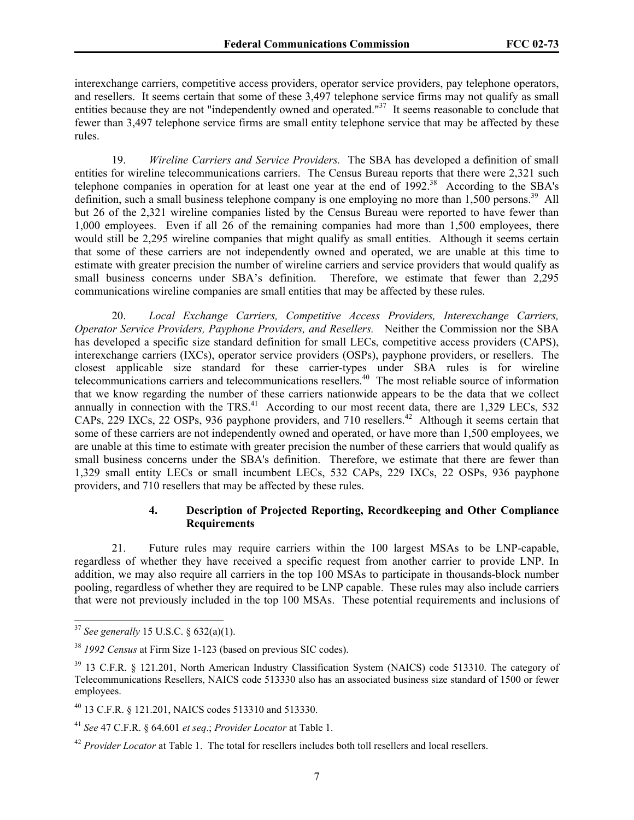interexchange carriers, competitive access providers, operator service providers, pay telephone operators, and resellers. It seems certain that some of these 3,497 telephone service firms may not qualify as small entities because they are not "independently owned and operated."<sup>37</sup> It seems reasonable to conclude that fewer than 3,497 telephone service firms are small entity telephone service that may be affected by these rules.

19. *Wireline Carriers and Service Providers.* The SBA has developed a definition of small entities for wireline telecommunications carriers. The Census Bureau reports that there were 2,321 such telephone companies in operation for at least one year at the end of  $1992$ .<sup>38</sup> According to the SBA's definition, such a small business telephone company is one employing no more than 1,500 persons.<sup>39</sup> All but 26 of the 2,321 wireline companies listed by the Census Bureau were reported to have fewer than 1,000 employees. Even if all 26 of the remaining companies had more than 1,500 employees, there would still be 2,295 wireline companies that might qualify as small entities. Although it seems certain that some of these carriers are not independently owned and operated, we are unable at this time to estimate with greater precision the number of wireline carriers and service providers that would qualify as small business concerns under SBA's definition. Therefore, we estimate that fewer than 2,295 communications wireline companies are small entities that may be affected by these rules.

20. *Local Exchange Carriers, Competitive Access Providers, Interexchange Carriers, Operator Service Providers, Payphone Providers, and Resellers.* Neither the Commission nor the SBA has developed a specific size standard definition for small LECs, competitive access providers (CAPS), interexchange carriers (IXCs), operator service providers (OSPs), payphone providers, or resellers. The closest applicable size standard for these carrier-types under SBA rules is for wireline telecommunications carriers and telecommunications resellers.<sup>40</sup> The most reliable source of information that we know regarding the number of these carriers nationwide appears to be the data that we collect annually in connection with the TRS.<sup>41</sup> According to our most recent data, there are  $1.329$  LECs,  $532$ CAPs, 229 IXCs, 22 OSPs, 936 payphone providers, and 710 resellers.<sup>42</sup> Although it seems certain that some of these carriers are not independently owned and operated, or have more than 1,500 employees, we are unable at this time to estimate with greater precision the number of these carriers that would qualify as small business concerns under the SBA's definition. Therefore, we estimate that there are fewer than 1,329 small entity LECs or small incumbent LECs, 532 CAPs, 229 IXCs, 22 OSPs, 936 payphone providers, and 710 resellers that may be affected by these rules.

## **4. Description of Projected Reporting, Recordkeeping and Other Compliance Requirements**

21. Future rules may require carriers within the 100 largest MSAs to be LNP-capable, regardless of whether they have received a specific request from another carrier to provide LNP. In addition, we may also require all carriers in the top 100 MSAs to participate in thousands-block number pooling, regardless of whether they are required to be LNP capable. These rules may also include carriers that were not previously included in the top 100 MSAs. These potential requirements and inclusions of

<sup>37</sup> *See generally* 15 U.S.C. § 632(a)(1).

<sup>38</sup> *1992 Census* at Firm Size 1-123 (based on previous SIC codes).

<sup>&</sup>lt;sup>39</sup> 13 C.F.R. § 121.201, North American Industry Classification System (NAICS) code 513310. The category of Telecommunications Resellers, NAICS code 513330 also has an associated business size standard of 1500 or fewer employees.

<sup>40 13</sup> C.F.R. § 121.201, NAICS codes 513310 and 513330.

<sup>41</sup> *See* 47 C.F.R. § 64.601 *et seq*.; *Provider Locator* at Table 1.

<sup>&</sup>lt;sup>42</sup> *Provider Locator* at Table 1. The total for resellers includes both toll resellers and local resellers.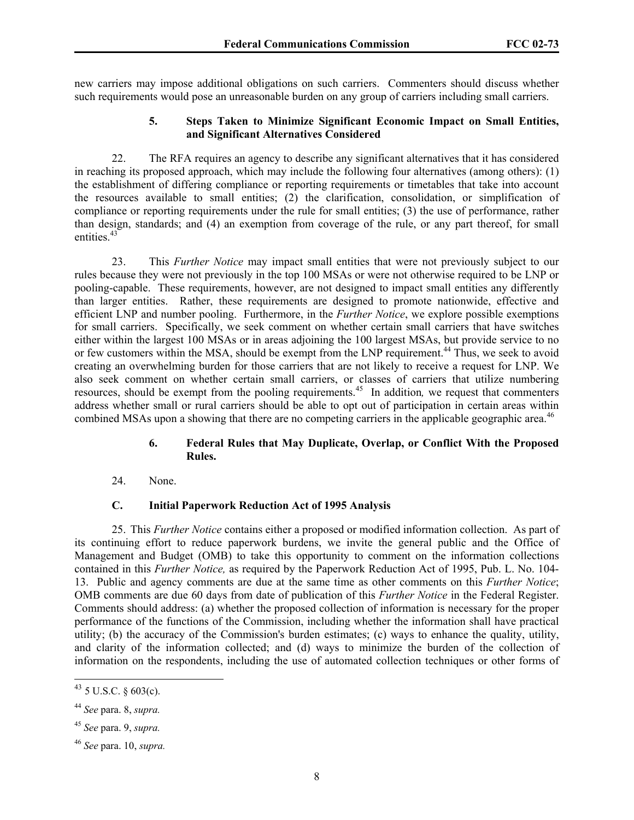new carriers may impose additional obligations on such carriers. Commenters should discuss whether such requirements would pose an unreasonable burden on any group of carriers including small carriers.

### **5. Steps Taken to Minimize Significant Economic Impact on Small Entities, and Significant Alternatives Considered**

22. The RFA requires an agency to describe any significant alternatives that it has considered in reaching its proposed approach, which may include the following four alternatives (among others): (1) the establishment of differing compliance or reporting requirements or timetables that take into account the resources available to small entities; (2) the clarification, consolidation, or simplification of compliance or reporting requirements under the rule for small entities; (3) the use of performance, rather than design, standards; and (4) an exemption from coverage of the rule, or any part thereof, for small entities<sup>43</sup>

23. This *Further Notice* may impact small entities that were not previously subject to our rules because they were not previously in the top 100 MSAs or were not otherwise required to be LNP or pooling-capable. These requirements, however, are not designed to impact small entities any differently than larger entities. Rather, these requirements are designed to promote nationwide, effective and efficient LNP and number pooling. Furthermore, in the *Further Notice*, we explore possible exemptions for small carriers. Specifically, we seek comment on whether certain small carriers that have switches either within the largest 100 MSAs or in areas adjoining the 100 largest MSAs, but provide service to no or few customers within the MSA, should be exempt from the LNP requirement.<sup>44</sup> Thus, we seek to avoid creating an overwhelming burden for those carriers that are not likely to receive a request for LNP. We also seek comment on whether certain small carriers, or classes of carriers that utilize numbering resources, should be exempt from the pooling requirements.45 In addition*,* we request that commenters address whether small or rural carriers should be able to opt out of participation in certain areas within combined MSAs upon a showing that there are no competing carriers in the applicable geographic area.<sup>46</sup>

## **6. Federal Rules that May Duplicate, Overlap, or Conflict With the Proposed Rules.**

24. None.

## **C. Initial Paperwork Reduction Act of 1995 Analysis**

25. This *Further Notice* contains either a proposed or modified information collection. As part of its continuing effort to reduce paperwork burdens, we invite the general public and the Office of Management and Budget (OMB) to take this opportunity to comment on the information collections contained in this *Further Notice,* as required by the Paperwork Reduction Act of 1995, Pub. L. No. 104- 13. Public and agency comments are due at the same time as other comments on this *Further Notice*; OMB comments are due 60 days from date of publication of this *Further Notice* in the Federal Register. Comments should address: (a) whether the proposed collection of information is necessary for the proper performance of the functions of the Commission, including whether the information shall have practical utility; (b) the accuracy of the Commission's burden estimates; (c) ways to enhance the quality, utility, and clarity of the information collected; and (d) ways to minimize the burden of the collection of information on the respondents, including the use of automated collection techniques or other forms of

 $^{43}$  5 U.S.C. § 603(c).

<sup>44</sup> *See* para. 8, *supra.* 

<sup>45</sup> *See* para. 9, *supra.*

<sup>46</sup> *See* para. 10, *supra.*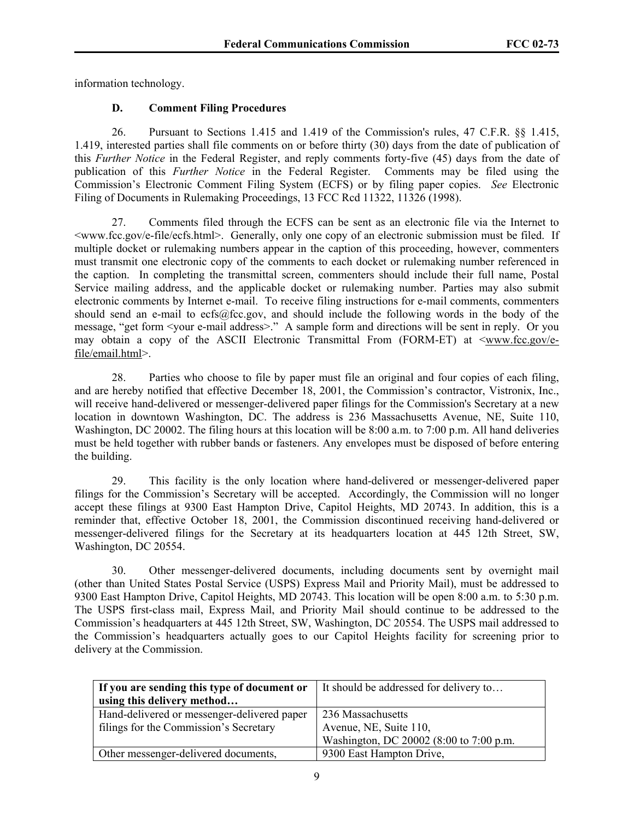information technology.

# **D. Comment Filing Procedures**

26. Pursuant to Sections 1.415 and 1.419 of the Commission's rules, 47 C.F.R. §§ 1.415, 1.419, interested parties shall file comments on or before thirty (30) days from the date of publication of this *Further Notice* in the Federal Register, and reply comments forty-five (45) days from the date of publication of this *Further Notice* in the Federal Register. Comments may be filed using the Commission's Electronic Comment Filing System (ECFS) or by filing paper copies. *See* Electronic Filing of Documents in Rulemaking Proceedings, 13 FCC Rcd 11322, 11326 (1998).

27. Comments filed through the ECFS can be sent as an electronic file via the Internet to <www.fcc.gov/e-file/ecfs.html>.Generally, only one copy of an electronic submission must be filed. If multiple docket or rulemaking numbers appear in the caption of this proceeding, however, commenters must transmit one electronic copy of the comments to each docket or rulemaking number referenced in the caption. In completing the transmittal screen, commenters should include their full name, Postal Service mailing address, and the applicable docket or rulemaking number. Parties may also submit electronic comments by Internet e-mail. To receive filing instructions for e-mail comments, commenters should send an e-mail to ecfs@fcc.gov, and should include the following words in the body of the message, "get form <your e-mail address>." A sample form and directions will be sent in reply. Or you may obtain a copy of the ASCII Electronic Transmittal From (FORM-ET) at  $\leq$ www.fcc.gov/efile/email.html>.

28. Parties who choose to file by paper must file an original and four copies of each filing, and are hereby notified that effective December 18, 2001, the Commission's contractor, Vistronix, Inc., will receive hand-delivered or messenger-delivered paper filings for the Commission's Secretary at a new location in downtown Washington, DC. The address is 236 Massachusetts Avenue, NE, Suite 110, Washington, DC 20002. The filing hours at this location will be 8:00 a.m. to 7:00 p.m. All hand deliveries must be held together with rubber bands or fasteners. Any envelopes must be disposed of before entering the building.

29. This facility is the only location where hand-delivered or messenger-delivered paper filings for the Commission's Secretary will be accepted. Accordingly, the Commission will no longer accept these filings at 9300 East Hampton Drive, Capitol Heights, MD 20743. In addition, this is a reminder that, effective October 18, 2001, the Commission discontinued receiving hand-delivered or messenger-delivered filings for the Secretary at its headquarters location at 445 12th Street, SW, Washington, DC 20554.

30. Other messenger-delivered documents, including documents sent by overnight mail (other than United States Postal Service (USPS) Express Mail and Priority Mail), must be addressed to 9300 East Hampton Drive, Capitol Heights, MD 20743. This location will be open 8:00 a.m. to 5:30 p.m. The USPS first-class mail, Express Mail, and Priority Mail should continue to be addressed to the Commission's headquarters at 445 12th Street, SW, Washington, DC 20554. The USPS mail addressed to the Commission's headquarters actually goes to our Capitol Heights facility for screening prior to delivery at the Commission.

| If you are sending this type of document or | It should be addressed for delivery to  |  |
|---------------------------------------------|-----------------------------------------|--|
| using this delivery method                  |                                         |  |
| Hand-delivered or messenger-delivered paper | 236 Massachusetts                       |  |
| filings for the Commission's Secretary      | Avenue, NE, Suite 110,                  |  |
|                                             | Washington, DC 20002 (8:00 to 7:00 p.m. |  |
| Other messenger-delivered documents,        | 9300 East Hampton Drive,                |  |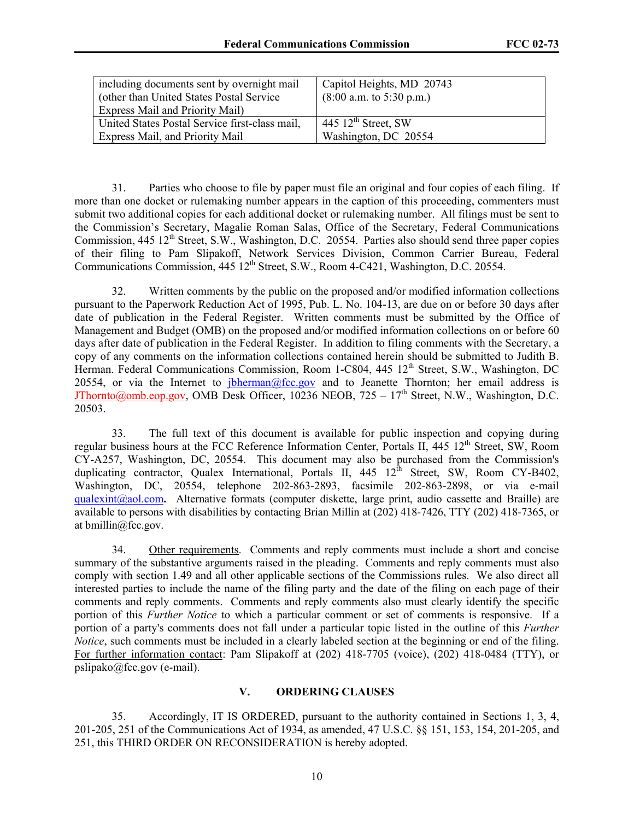| including documents sent by overnight mail<br>(other than United States Postal Service)<br><b>Express Mail and Priority Mail)</b> | Capitol Heights, MD 20743<br>$(8:00$ a.m. to 5:30 p.m.) |
|-----------------------------------------------------------------------------------------------------------------------------------|---------------------------------------------------------|
| United States Postal Service first-class mail,                                                                                    | 445 $12^{\text{th}}$ Street, SW                         |
| Express Mail, and Priority Mail                                                                                                   | Washington, DC 20554                                    |

31. Parties who choose to file by paper must file an original and four copies of each filing. If more than one docket or rulemaking number appears in the caption of this proceeding, commenters must submit two additional copies for each additional docket or rulemaking number. All filings must be sent to the Commission's Secretary, Magalie Roman Salas, Office of the Secretary, Federal Communications Commission,  $445 \frac{12^{\text{th}}}{\text{Street}}$ , S.W., Washington, D.C. 20554. Parties also should send three paper copies of their filing to Pam Slipakoff, Network Services Division, Common Carrier Bureau, Federal Communications Commission,  $445 \frac{12^{\text{th}}}{\text{Street, S.W., Room 4-C421, Washington, D.C. 20554.}}$ 

32. Written comments by the public on the proposed and/or modified information collections pursuant to the Paperwork Reduction Act of 1995, Pub. L. No. 104-13, are due on or before 30 days after date of publication in the Federal Register. Written comments must be submitted by the Office of Management and Budget (OMB) on the proposed and/or modified information collections on or before 60 days after date of publication in the Federal Register. In addition to filing comments with the Secretary, a copy of any comments on the information collections contained herein should be submitted to Judith B. Herman. Federal Communications Commission, Room 1-C804, 445 12<sup>th</sup> Street, S.W., Washington, DC 20554, or via the Internet to *j*oherman@fcc.gov and to Jeanette Thornton; her email address is JThornto@omb.eop.gov, OMB Desk Officer, 10236 NEOB,  $725 - 17<sup>th</sup>$  Street, N.W., Washington, D.C. 20503.

33. The full text of this document is available for public inspection and copying during regular business hours at the FCC Reference Information Center, Portals II, 445 12<sup>th</sup> Street, SW, Room CY-A257, Washington, DC, 20554. This document may also be purchased from the Commission's duplicating contractor, Qualex International, Portals II,  $445 \frac{12^{th}}{12^{th}}$  Street, SW, Room CY-B402, Washington, DC, 20554, telephone 202-863-2893, facsimile 202-863-2898, or via e-mail qualexint@aol.com**.** Alternative formats (computer diskette, large print, audio cassette and Braille) are available to persons with disabilities by contacting Brian Millin at (202) 418-7426, TTY (202) 418-7365, or at bmillin@fcc.gov.

34. Other requirements. Comments and reply comments must include a short and concise summary of the substantive arguments raised in the pleading. Comments and reply comments must also comply with section 1.49 and all other applicable sections of the Commissions rules. We also direct all interested parties to include the name of the filing party and the date of the filing on each page of their comments and reply comments. Comments and reply comments also must clearly identify the specific portion of this *Further Notice* to which a particular comment or set of comments is responsive. If a portion of a party's comments does not fall under a particular topic listed in the outline of this *Further Notice*, such comments must be included in a clearly labeled section at the beginning or end of the filing. For further information contact: Pam Slipakoff at (202) 418-7705 (voice), (202) 418-0484 (TTY), or pslipako@fcc.gov (e-mail).

# **V. ORDERING CLAUSES**

35. Accordingly, IT IS ORDERED, pursuant to the authority contained in Sections 1, 3, 4, 201-205, 251 of the Communications Act of 1934, as amended, 47 U.S.C. §§ 151, 153, 154, 201-205, and 251, this THIRD ORDER ON RECONSIDERATION is hereby adopted.